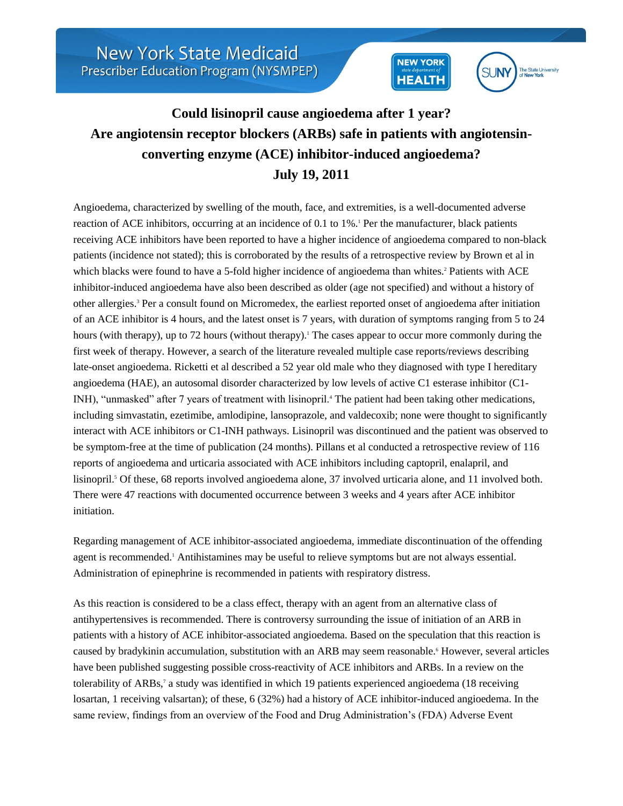



## **Could lisinopril cause angioedema after 1 year? Are angiotensin receptor blockers (ARBs) safe in patients with angiotensinconverting enzyme (ACE) inhibitor-induced angioedema? July 19, 2011**

Angioedema, characterized by swelling of the mouth, face, and extremities, is a well-documented adverse reaction of ACE inhibitors, occurring at an incidence of 0.1 to 1%. Per the manufacturer, black patients receiving ACE inhibitors have been reported to have a higher incidence of angioedema compared to non-black patients (incidence not stated); this is corroborated by the results of a retrospective review by Brown et al in which blacks were found to have a 5-fold higher incidence of angioedema than whites.<sup>2</sup> Patients with ACE inhibitor-induced angioedema have also been described as older (age not specified) and without a history of other allergies.<sup>3</sup> Per a consult found on Micromedex, the earliest reported onset of angioedema after initiation of an ACE inhibitor is 4 hours, and the latest onset is 7 years, with duration of symptoms ranging from 5 to 24 hours (with therapy), up to 72 hours (without therapy).<sup>1</sup> The cases appear to occur more commonly during the first week of therapy. However, a search of the literature revealed multiple case reports/reviews describing late-onset angioedema. Ricketti et al described a 52 year old male who they diagnosed with type I hereditary angioedema (HAE), an autosomal disorder characterized by low levels of active C1 esterase inhibitor (C1- INH), "unmasked" after 7 years of treatment with lisinopril.<sup>4</sup> The patient had been taking other medications, including simvastatin, ezetimibe, amlodipine, lansoprazole, and valdecoxib; none were thought to significantly interact with ACE inhibitors or C1-INH pathways. Lisinopril was discontinued and the patient was observed to be symptom-free at the time of publication (24 months). Pillans et al conducted a retrospective review of 116 reports of angioedema and urticaria associated with ACE inhibitors including captopril, enalapril, and lisinopril.<sup>5</sup> Of these, 68 reports involved angioedema alone, 37 involved urticaria alone, and 11 involved both. There were 47 reactions with documented occurrence between 3 weeks and 4 years after ACE inhibitor initiation.

Regarding management of ACE inhibitor-associated angioedema, immediate discontinuation of the offending agent is recommended.<sup>1</sup> Antihistamines may be useful to relieve symptoms but are not always essential. Administration of epinephrine is recommended in patients with respiratory distress.

As this reaction is considered to be a class effect, therapy with an agent from an alternative class of antihypertensives is recommended. There is controversy surrounding the issue of initiation of an ARB in patients with a history of ACE inhibitor-associated angioedema. Based on the speculation that this reaction is caused by bradykinin accumulation, substitution with an ARB may seem reasonable.<sup>6</sup> However, several articles have been published suggesting possible cross-reactivity of ACE inhibitors and ARBs. In a review on the tolerability of ARBs,<sup>7</sup> a study was identified in which 19 patients experienced angioedema (18 receiving losartan, 1 receiving valsartan); of these, 6 (32%) had a history of ACE inhibitor-induced angioedema. In the same review, findings from an overview of the Food and Drug Administration's (FDA) Adverse Event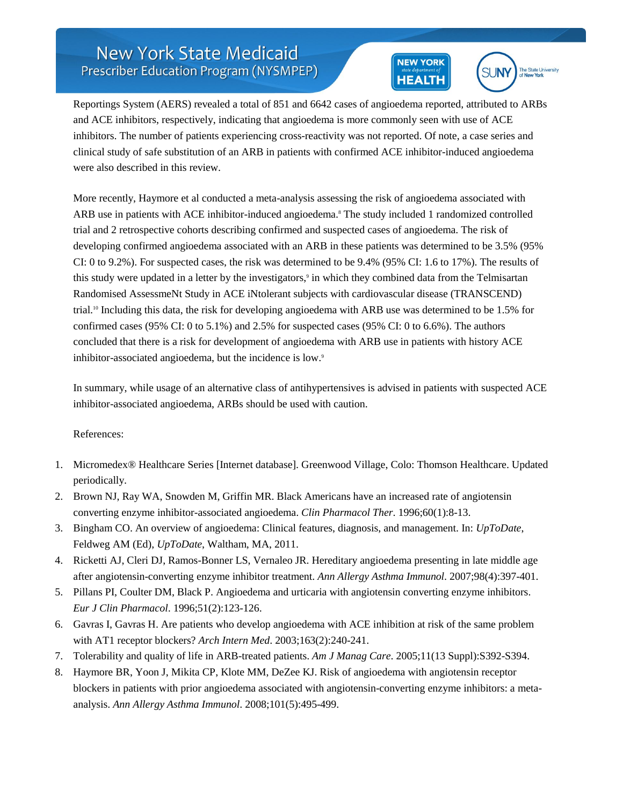## **New York State Medicaid** Prescriber Education Program (NYSMPEP)





Reportings System (AERS) revealed a total of 851 and 6642 cases of angioedema reported, attributed to ARBs and ACE inhibitors, respectively, indicating that angioedema is more commonly seen with use of ACE inhibitors. The number of patients experiencing cross-reactivity was not reported. Of note, a case series and clinical study of safe substitution of an ARB in patients with confirmed ACE inhibitor-induced angioedema were also described in this review.

More recently, Haymore et al conducted a meta-analysis assessing the risk of angioedema associated with ARB use in patients with ACE inhibitor-induced angioedema.<sup>8</sup> The study included 1 randomized controlled trial and 2 retrospective cohorts describing confirmed and suspected cases of angioedema. The risk of developing confirmed angioedema associated with an ARB in these patients was determined to be 3.5% (95% CI: 0 to 9.2%). For suspected cases, the risk was determined to be 9.4% (95% CI: 1.6 to 17%). The results of this study were updated in a letter by the investigators,<sup>9</sup> in which they combined data from the Telmisartan Randomised AssessmeNt Study in ACE iNtolerant subjects with cardiovascular disease (TRANSCEND) trial.<sup>10</sup> Including this data, the risk for developing angioedema with ARB use was determined to be 1.5% for confirmed cases (95% CI: 0 to 5.1%) and 2.5% for suspected cases (95% CI: 0 to 6.6%). The authors concluded that there is a risk for development of angioedema with ARB use in patients with history ACE inhibitor-associated angioedema, but the incidence is low.9

In summary, while usage of an alternative class of antihypertensives is advised in patients with suspected ACE inhibitor-associated angioedema, ARBs should be used with caution.

## References:

- 1. Micromedex® Healthcare Series [Internet database]. Greenwood Village, Colo: Thomson Healthcare. Updated periodically.
- 2. Brown NJ, Ray WA, Snowden M, Griffin MR. Black Americans have an increased rate of angiotensin converting enzyme inhibitor-associated angioedema. *Clin Pharmacol Ther*. 1996;60(1):8-13.
- 3. Bingham CO. An overview of angioedema: Clinical features, diagnosis, and management. In: *UpToDate*, Feldweg AM (Ed), *UpToDate*, Waltham, MA, 2011.
- 4. Ricketti AJ, Cleri DJ, Ramos-Bonner LS, Vernaleo JR. Hereditary angioedema presenting in late middle age after angiotensin-converting enzyme inhibitor treatment. *Ann Allergy Asthma Immunol*. 2007;98(4):397-401.
- 5. Pillans PI, Coulter DM, Black P. Angioedema and urticaria with angiotensin converting enzyme inhibitors. *Eur J Clin Pharmacol*. 1996;51(2):123-126.
- 6. Gavras I, Gavras H. Are patients who develop angioedema with ACE inhibition at risk of the same problem with AT1 receptor blockers? *Arch Intern Med*. 2003;163(2):240-241.
- 7. Tolerability and quality of life in ARB-treated patients. *Am J Manag Care*. 2005;11(13 Suppl):S392-S394.
- 8. Haymore BR, Yoon J, Mikita CP, Klote MM, DeZee KJ. Risk of angioedema with angiotensin receptor blockers in patients with prior angioedema associated with angiotensin-converting enzyme inhibitors: a metaanalysis. *Ann Allergy Asthma Immunol*. 2008;101(5):495-499.